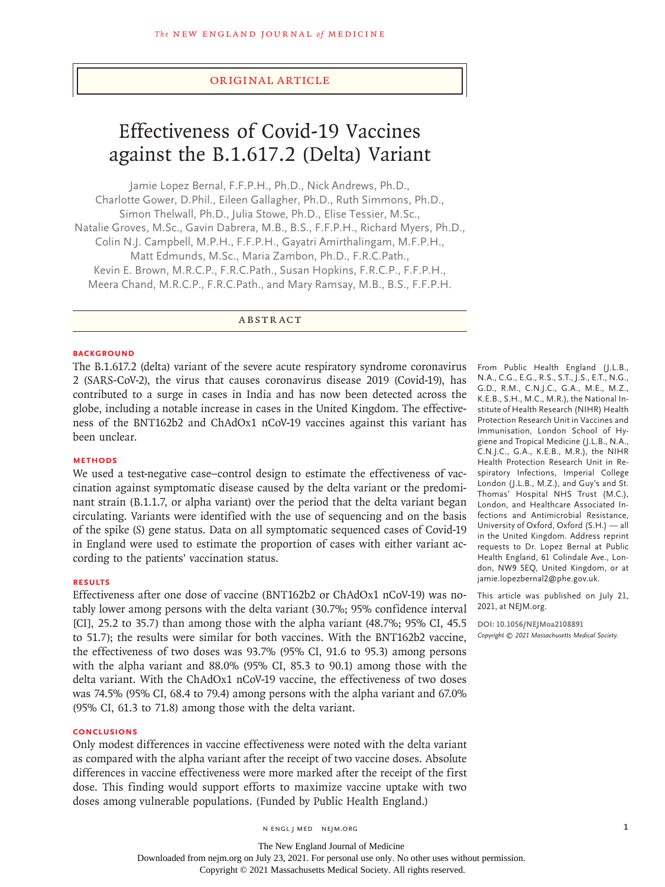## Original Article

# Effectiveness of Covid-19 Vaccines against the B.1.617.2 (Delta) Variant

Jamie Lopez Bernal, F.F.P.H., Ph.D., Nick Andrews, Ph.D., Charlotte Gower, D.Phil., Eileen Gallagher, Ph.D., Ruth Simmons, Ph.D., Simon Thelwall, Ph.D., Julia Stowe, Ph.D., Elise Tessier, M.Sc., Natalie Groves, M.Sc., Gavin Dabrera, M.B., B.S., F.F.P.H., Richard Myers, Ph.D., Colin N.J. Campbell, M.P.H., F.F.P.H., Gayatri Amirthalingam, M.F.P.H., Matt Edmunds, M.Sc., Maria Zambon, Ph.D., F.R.C.Path., Kevin E. Brown, M.R.C.P., F.R.C.Path., Susan Hopkins, F.R.C.P., F.F.P.H., Meera Chand, M.R.C.P., F.R.C.Path., and Mary Ramsay, M.B., B.S., F.F.P.H.

ABSTRACT

#### **BACKGROUND**

The B.1.617.2 (delta) variant of the severe acute respiratory syndrome coronavirus 2 (SARS-CoV-2), the virus that causes coronavirus disease 2019 (Covid-19), has contributed to a surge in cases in India and has now been detected across the globe, including a notable increase in cases in the United Kingdom. The effectiveness of the BNT162b2 and ChAdOx1 nCoV-19 vaccines against this variant has been unclear.

## **METHODS**

We used a test-negative case–control design to estimate the effectiveness of vaccination against symptomatic disease caused by the delta variant or the predominant strain (B.1.1.7, or alpha variant) over the period that the delta variant began circulating. Variants were identified with the use of sequencing and on the basis of the spike (*S*) gene status. Data on all symptomatic sequenced cases of Covid-19 in England were used to estimate the proportion of cases with either variant according to the patients' vaccination status.

#### **RESULTS**

Effectiveness after one dose of vaccine (BNT162b2 or ChAdOx1 nCoV-19) was notably lower among persons with the delta variant (30.7%; 95% confidence interval [CI], 25.2 to 35.7) than among those with the alpha variant (48.7%; 95% CI, 45.5 to 51.7); the results were similar for both vaccines. With the BNT162b2 vaccine, the effectiveness of two doses was 93.7% (95% CI, 91.6 to 95.3) among persons with the alpha variant and 88.0% (95% CI, 85.3 to 90.1) among those with the delta variant. With the ChAdOx1 nCoV-19 vaccine, the effectiveness of two doses was 74.5% (95% CI, 68.4 to 79.4) among persons with the alpha variant and 67.0% (95% CI, 61.3 to 71.8) among those with the delta variant.

#### **CONCLUSIONS**

Only modest differences in vaccine effectiveness were noted with the delta variant as compared with the alpha variant after the receipt of two vaccine doses. Absolute differences in vaccine effectiveness were more marked after the receipt of the first dose. This finding would support efforts to maximize vaccine uptake with two doses among vulnerable populations. (Funded by Public Health England.)

From Public Health England (J.L.B., N.A., C.G., E.G., R.S., S.T., J.S., E.T., N.G., G.D., R.M., C.N.J.C., G.A., M.E., M.Z., K.E.B., S.H., M.C., M.R.), the National Institute of Health Research (NIHR) Health Protection Research Unit in Vaccines and Immunisation, London School of Hygiene and Tropical Medicine (J.L.B., N.A., C.N.J.C., G.A., K.E.B., M.R.), the NIHR Health Protection Research Unit in Respiratory Infections, Imperial College London (J.L.B., M.Z.), and Guy's and St. Thomas' Hospital NHS Trust (M.C.), London, and Healthcare Associated Infections and Antimicrobial Resistance, University of Oxford, Oxford (S.H.) — all in the United Kingdom. Address reprint requests to Dr. Lopez Bernal at Public Health England, 61 Colindale Ave., London, NW9 5EQ, United Kingdom, or at jamie.lopezbernal2@phe.gov.uk.

This article was published on July 21, 2021, at NEJM.org.

**DOI: 10.1056/NEJMoa2108891** *Copyright © 2021 Massachusetts Medical Society.*

n engl j med nejm.org 1

The New England Journal of Medicine Downloaded from nejm.org on July 23, 2021. For personal use only. No other uses without permission.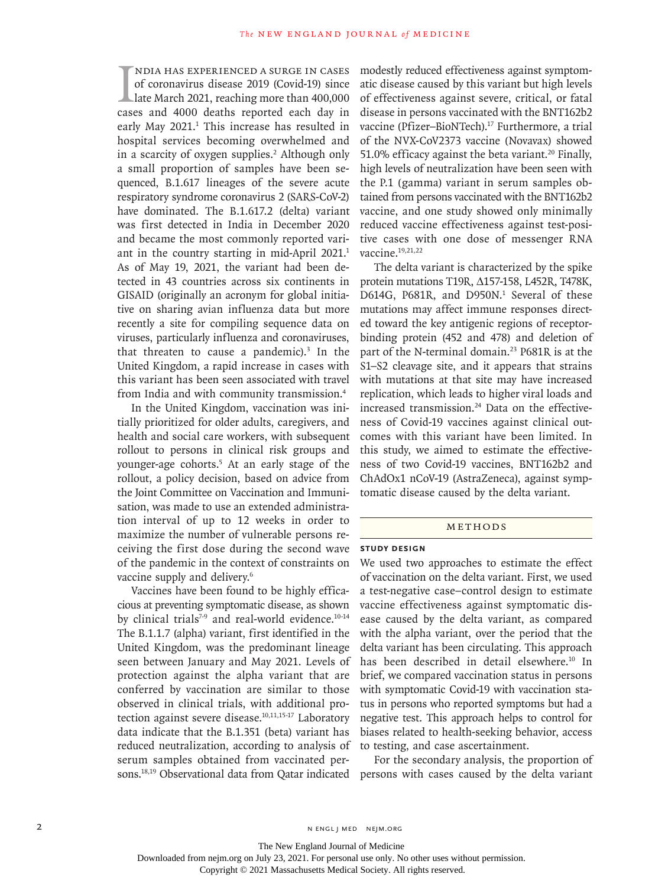I<br>Case ndia has experienced a surge in cases of coronavirus disease 2019 (Covid-19) since late March 2021, reaching more than 400,000 cases and 4000 deaths reported each day in early May 2021.<sup>1</sup> This increase has resulted in hospital services becoming overwhelmed and in a scarcity of oxygen supplies.<sup>2</sup> Although only a small proportion of samples have been sequenced, B.1.617 lineages of the severe acute respiratory syndrome coronavirus 2 (SARS-CoV-2) have dominated. The B.1.617.2 (delta) variant was first detected in India in December 2020 and became the most commonly reported variant in the country starting in mid-April 2021.<sup>1</sup> As of May 19, 2021, the variant had been detected in 43 countries across six continents in GISAID (originally an acronym for global initiative on sharing avian influenza data but more recently a site for compiling sequence data on viruses, particularly influenza and coronaviruses, that threaten to cause a pandemic). $3$  In the United Kingdom, a rapid increase in cases with this variant has been seen associated with travel from India and with community transmission.4

In the United Kingdom, vaccination was initially prioritized for older adults, caregivers, and health and social care workers, with subsequent rollout to persons in clinical risk groups and younger-age cohorts.5 At an early stage of the rollout, a policy decision, based on advice from the Joint Committee on Vaccination and Immunisation, was made to use an extended administration interval of up to 12 weeks in order to maximize the number of vulnerable persons receiving the first dose during the second wave of the pandemic in the context of constraints on vaccine supply and delivery.<sup>6</sup>

Vaccines have been found to be highly efficacious at preventing symptomatic disease, as shown by clinical trials<sup>7-9</sup> and real-world evidence.<sup>10-14</sup> The B.1.1.7 (alpha) variant, first identified in the United Kingdom, was the predominant lineage seen between January and May 2021. Levels of protection against the alpha variant that are conferred by vaccination are similar to those observed in clinical trials, with additional protection against severe disease.<sup>10,11,15-17</sup> Laboratory data indicate that the B.1.351 (beta) variant has reduced neutralization, according to analysis of serum samples obtained from vaccinated permodestly reduced effectiveness against symptomatic disease caused by this variant but high levels of effectiveness against severe, critical, or fatal disease in persons vaccinated with the BNT162b2 vaccine (Pfizer-BioNTech).<sup>17</sup> Furthermore, a trial of the NVX-CoV2373 vaccine (Novavax) showed 51.0% efficacy against the beta variant.<sup>20</sup> Finally, high levels of neutralization have been seen with the P.1 (gamma) variant in serum samples obtained from persons vaccinated with the BNT162b2 vaccine, and one study showed only minimally reduced vaccine effectiveness against test-positive cases with one dose of messenger RNA vaccine.<sup>19,21,22</sup>

The delta variant is characterized by the spike protein mutations T19R, Δ157-158, L452R, T478K, D614G, P681R, and D950N.<sup>1</sup> Several of these mutations may affect immune responses directed toward the key antigenic regions of receptorbinding protein (452 and 478) and deletion of part of the N-terminal domain.<sup>23</sup> P681R is at the S1–S2 cleavage site, and it appears that strains with mutations at that site may have increased replication, which leads to higher viral loads and increased transmission.<sup>24</sup> Data on the effectiveness of Covid-19 vaccines against clinical outcomes with this variant have been limited. In this study, we aimed to estimate the effectiveness of two Covid-19 vaccines, BNT162b2 and ChAdOx1 nCoV-19 (AstraZeneca), against symptomatic disease caused by the delta variant.

## METHODS

#### **Study Design**

We used two approaches to estimate the effect of vaccination on the delta variant. First, we used a test-negative case–control design to estimate vaccine effectiveness against symptomatic disease caused by the delta variant, as compared with the alpha variant, over the period that the delta variant has been circulating. This approach has been described in detail elsewhere.<sup>10</sup> In brief, we compared vaccination status in persons with symptomatic Covid-19 with vaccination status in persons who reported symptoms but had a negative test. This approach helps to control for biases related to health-seeking behavior, access to testing, and case ascertainment.

sons.18,19 Observational data from Qatar indicated persons with cases caused by the delta variant For the secondary analysis, the proportion of

The New England Journal of Medicine

Downloaded from nejm.org on July 23, 2021. For personal use only. No other uses without permission.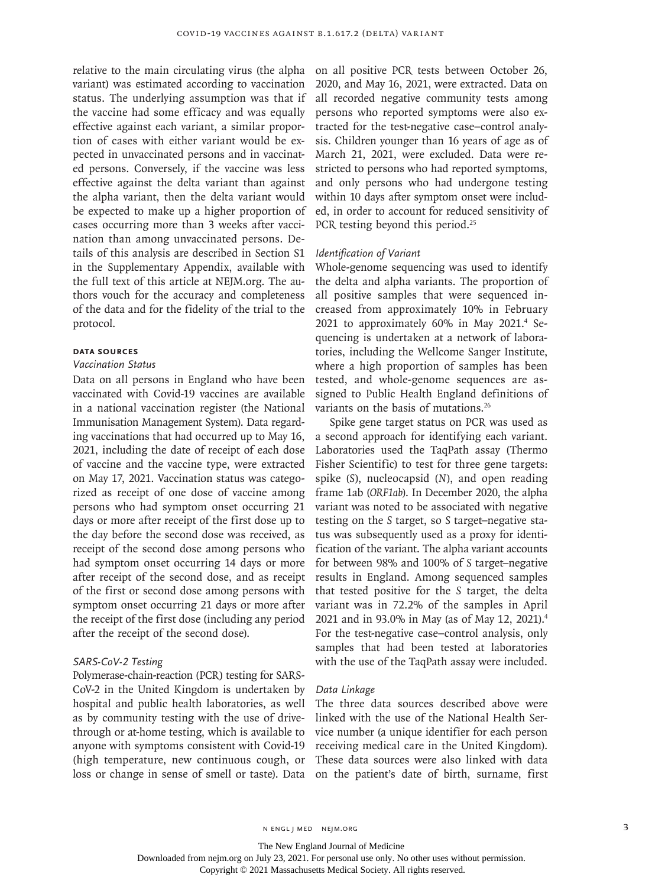variant) was estimated according to vaccination status. The underlying assumption was that if the vaccine had some efficacy and was equally effective against each variant, a similar proportion of cases with either variant would be expected in unvaccinated persons and in vaccinated persons. Conversely, if the vaccine was less effective against the delta variant than against the alpha variant, then the delta variant would be expected to make up a higher proportion of cases occurring more than 3 weeks after vaccination than among unvaccinated persons. Details of this analysis are described in Section S1 in the Supplementary Appendix, available with the full text of this article at NEJM.org. The authors vouch for the accuracy and completeness of the data and for the fidelity of the trial to the protocol.

## **Data Sources**

#### *Vaccination Status*

Data on all persons in England who have been vaccinated with Covid-19 vaccines are available in a national vaccination register (the National Immunisation Management System). Data regarding vaccinations that had occurred up to May 16, 2021, including the date of receipt of each dose of vaccine and the vaccine type, were extracted on May 17, 2021. Vaccination status was categorized as receipt of one dose of vaccine among persons who had symptom onset occurring 21 days or more after receipt of the first dose up to the day before the second dose was received, as receipt of the second dose among persons who had symptom onset occurring 14 days or more after receipt of the second dose, and as receipt of the first or second dose among persons with symptom onset occurring 21 days or more after the receipt of the first dose (including any period after the receipt of the second dose).

### *SARS-CoV-2 Testing*

### Polymerase-chain-reaction (PCR) testing for SARS-

CoV-2 in the United Kingdom is undertaken by hospital and public health laboratories, as well as by community testing with the use of drivethrough or at-home testing, which is available to anyone with symptoms consistent with Covid-19 (high temperature, new continuous cough, or loss or change in sense of smell or taste). Data

relative to the main circulating virus (the alpha on all positive PCR tests between October 26, 2020, and May 16, 2021, were extracted. Data on all recorded negative community tests among persons who reported symptoms were also extracted for the test-negative case–control analysis. Children younger than 16 years of age as of March 21, 2021, were excluded. Data were restricted to persons who had reported symptoms, and only persons who had undergone testing within 10 days after symptom onset were included, in order to account for reduced sensitivity of PCR testing beyond this period.<sup>25</sup>

#### *Identification of Variant*

Whole-genome sequencing was used to identify the delta and alpha variants. The proportion of all positive samples that were sequenced increased from approximately 10% in February 2021 to approximately 60% in May 2021.<sup>4</sup> Sequencing is undertaken at a network of laboratories, including the Wellcome Sanger Institute, where a high proportion of samples has been tested, and whole-genome sequences are assigned to Public Health England definitions of variants on the basis of mutations.<sup>26</sup>

Spike gene target status on PCR was used as a second approach for identifying each variant. Laboratories used the TaqPath assay (Thermo Fisher Scientific) to test for three gene targets: spike (*S*), nucleocapsid (*N*), and open reading frame 1ab (*ORF1ab*). In December 2020, the alpha variant was noted to be associated with negative testing on the *S* target, so *S* target–negative status was subsequently used as a proxy for identification of the variant. The alpha variant accounts for between 98% and 100% of *S* target–negative results in England. Among sequenced samples that tested positive for the *S* target, the delta variant was in 72.2% of the samples in April 2021 and in 93.0% in May (as of May 12, 2021).4 For the test-negative case–control analysis, only samples that had been tested at laboratories with the use of the TaqPath assay were included.

## *Data Linkage*

The three data sources described above were linked with the use of the National Health Service number (a unique identifier for each person receiving medical care in the United Kingdom). These data sources were also linked with data on the patient's date of birth, surname, first

The New England Journal of Medicine

Downloaded from nejm.org on July 23, 2021. For personal use only. No other uses without permission.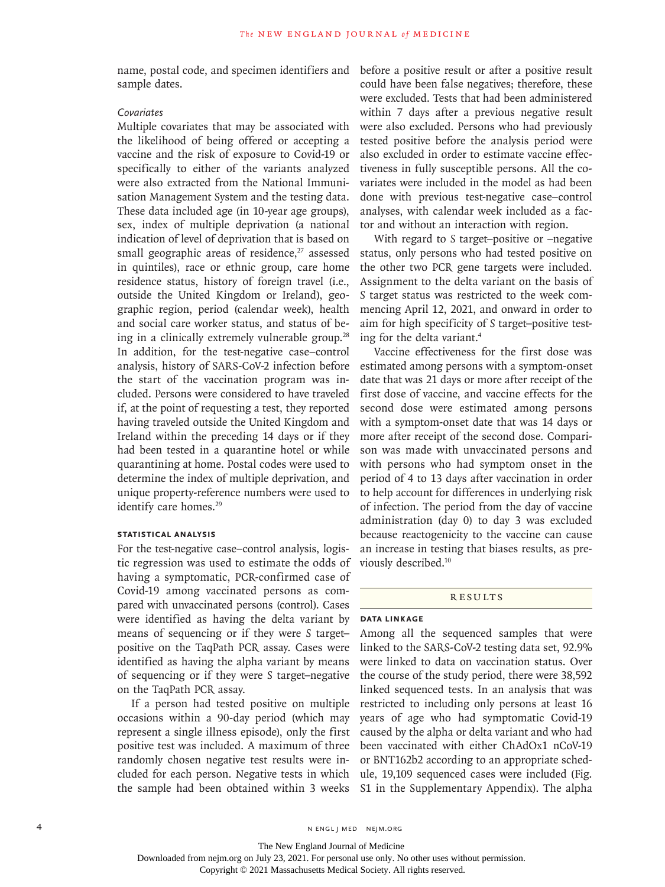name, postal code, and specimen identifiers and sample dates.

# *Covariates*

Multiple covariates that may be associated with the likelihood of being offered or accepting a vaccine and the risk of exposure to Covid-19 or specifically to either of the variants analyzed were also extracted from the National Immunisation Management System and the testing data. These data included age (in 10-year age groups), sex, index of multiple deprivation (a national indication of level of deprivation that is based on small geographic areas of residence,<sup>27</sup> assessed in quintiles), race or ethnic group, care home residence status, history of foreign travel (i.e., outside the United Kingdom or Ireland), geographic region, period (calendar week), health and social care worker status, and status of being in a clinically extremely vulnerable group.<sup>28</sup> In addition, for the test-negative case–control analysis, history of SARS-CoV-2 infection before the start of the vaccination program was included. Persons were considered to have traveled if, at the point of requesting a test, they reported having traveled outside the United Kingdom and Ireland within the preceding 14 days or if they had been tested in a quarantine hotel or while quarantining at home. Postal codes were used to determine the index of multiple deprivation, and unique property-reference numbers were used to identify care homes.<sup>29</sup>

#### **Statistical Analysis**

For the test-negative case–control analysis, logistic regression was used to estimate the odds of having a symptomatic, PCR-confirmed case of Covid-19 among vaccinated persons as compared with unvaccinated persons (control). Cases were identified as having the delta variant by means of sequencing or if they were *S* target– positive on the TaqPath PCR assay. Cases were identified as having the alpha variant by means of sequencing or if they were *S* target–negative on the TaqPath PCR assay.

If a person had tested positive on multiple occasions within a 90-day period (which may represent a single illness episode), only the first positive test was included. A maximum of three randomly chosen negative test results were included for each person. Negative tests in which the sample had been obtained within 3 weeks

before a positive result or after a positive result could have been false negatives; therefore, these were excluded. Tests that had been administered within 7 days after a previous negative result were also excluded. Persons who had previously tested positive before the analysis period were also excluded in order to estimate vaccine effectiveness in fully susceptible persons. All the covariates were included in the model as had been done with previous test-negative case–control analyses, with calendar week included as a factor and without an interaction with region.

With regard to *S* target–positive or –negative status, only persons who had tested positive on the other two PCR gene targets were included. Assignment to the delta variant on the basis of *S* target status was restricted to the week commencing April 12, 2021, and onward in order to aim for high specificity of *S* target–positive testing for the delta variant.4

Vaccine effectiveness for the first dose was estimated among persons with a symptom-onset date that was 21 days or more after receipt of the first dose of vaccine, and vaccine effects for the second dose were estimated among persons with a symptom-onset date that was 14 days or more after receipt of the second dose. Comparison was made with unvaccinated persons and with persons who had symptom onset in the period of 4 to 13 days after vaccination in order to help account for differences in underlying risk of infection. The period from the day of vaccine administration (day 0) to day 3 was excluded because reactogenicity to the vaccine can cause an increase in testing that biases results, as previously described.10

#### **RESULTS**

## **Data Linkage**

Among all the sequenced samples that were linked to the SARS-CoV-2 testing data set, 92.9% were linked to data on vaccination status. Over the course of the study period, there were 38,592 linked sequenced tests. In an analysis that was restricted to including only persons at least 16 years of age who had symptomatic Covid-19 caused by the alpha or delta variant and who had been vaccinated with either ChAdOx1 nCoV-19 or BNT162b2 according to an appropriate schedule, 19,109 sequenced cases were included (Fig. S1 in the Supplementary Appendix). The alpha

The New England Journal of Medicine Downloaded from nejm.org on July 23, 2021. For personal use only. No other uses without permission.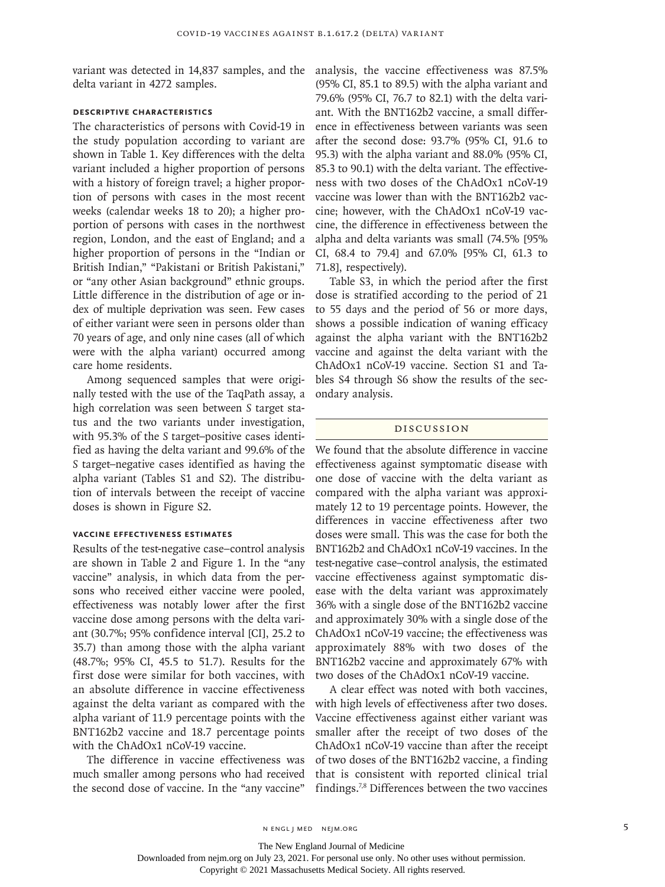variant was detected in 14,837 samples, and the analysis, the vaccine effectiveness was 87.5% delta variant in 4272 samples.

## **Descriptive Characteristics**

The characteristics of persons with Covid-19 in the study population according to variant are shown in Table 1. Key differences with the delta variant included a higher proportion of persons with a history of foreign travel; a higher proportion of persons with cases in the most recent weeks (calendar weeks 18 to 20); a higher proportion of persons with cases in the northwest region, London, and the east of England; and a higher proportion of persons in the "Indian or British Indian," "Pakistani or British Pakistani," or "any other Asian background" ethnic groups. Little difference in the distribution of age or index of multiple deprivation was seen. Few cases of either variant were seen in persons older than 70 years of age, and only nine cases (all of which were with the alpha variant) occurred among care home residents.

Among sequenced samples that were originally tested with the use of the TaqPath assay, a high correlation was seen between *S* target status and the two variants under investigation, with 95.3% of the *S* target–positive cases identified as having the delta variant and 99.6% of the *S* target–negative cases identified as having the alpha variant (Tables S1 and S2). The distribution of intervals between the receipt of vaccine doses is shown in Figure S2.

## **Vaccine Effectiveness Estimates**

Results of the test-negative case–control analysis are shown in Table 2 and Figure 1. In the "any vaccine" analysis, in which data from the persons who received either vaccine were pooled, effectiveness was notably lower after the first vaccine dose among persons with the delta variant (30.7%; 95% confidence interval [CI], 25.2 to 35.7) than among those with the alpha variant (48.7%; 95% CI, 45.5 to 51.7). Results for the first dose were similar for both vaccines, with an absolute difference in vaccine effectiveness against the delta variant as compared with the alpha variant of 11.9 percentage points with the BNT162b2 vaccine and 18.7 percentage points with the ChAdOx1 nCoV-19 vaccine.

The difference in vaccine effectiveness was much smaller among persons who had received the second dose of vaccine. In the "any vaccine"

(95% CI, 85.1 to 89.5) with the alpha variant and 79.6% (95% CI, 76.7 to 82.1) with the delta variant. With the BNT162b2 vaccine, a small difference in effectiveness between variants was seen after the second dose: 93.7% (95% CI, 91.6 to 95.3) with the alpha variant and 88.0% (95% CI, 85.3 to 90.1) with the delta variant. The effectiveness with two doses of the ChAdOx1 nCoV-19 vaccine was lower than with the BNT162b2 vaccine; however, with the ChAdOx1 nCoV-19 vaccine, the difference in effectiveness between the alpha and delta variants was small (74.5% [95% CI, 68.4 to 79.4] and 67.0% [95% CI, 61.3 to 71.8], respectively).

Table S3, in which the period after the first dose is stratified according to the period of 21 to 55 days and the period of 56 or more days, shows a possible indication of waning efficacy against the alpha variant with the BNT162b2 vaccine and against the delta variant with the ChAdOx1 nCoV-19 vaccine. Section S1 and Tables S4 through S6 show the results of the secondary analysis.

## Discussion

We found that the absolute difference in vaccine effectiveness against symptomatic disease with one dose of vaccine with the delta variant as compared with the alpha variant was approximately 12 to 19 percentage points. However, the differences in vaccine effectiveness after two doses were small. This was the case for both the BNT162b2 and ChAdOx1 nCoV-19 vaccines. In the test-negative case–control analysis, the estimated vaccine effectiveness against symptomatic disease with the delta variant was approximately 36% with a single dose of the BNT162b2 vaccine and approximately 30% with a single dose of the ChAdOx1 nCoV-19 vaccine; the effectiveness was approximately 88% with two doses of the BNT162b2 vaccine and approximately 67% with two doses of the ChAdOx1 nCoV-19 vaccine.

A clear effect was noted with both vaccines, with high levels of effectiveness after two doses. Vaccine effectiveness against either variant was smaller after the receipt of two doses of the ChAdOx1 nCoV-19 vaccine than after the receipt of two doses of the BNT162b2 vaccine, a finding that is consistent with reported clinical trial findings.7,8 Differences between the two vaccines

The New England Journal of Medicine

Downloaded from nejm.org on July 23, 2021. For personal use only. No other uses without permission.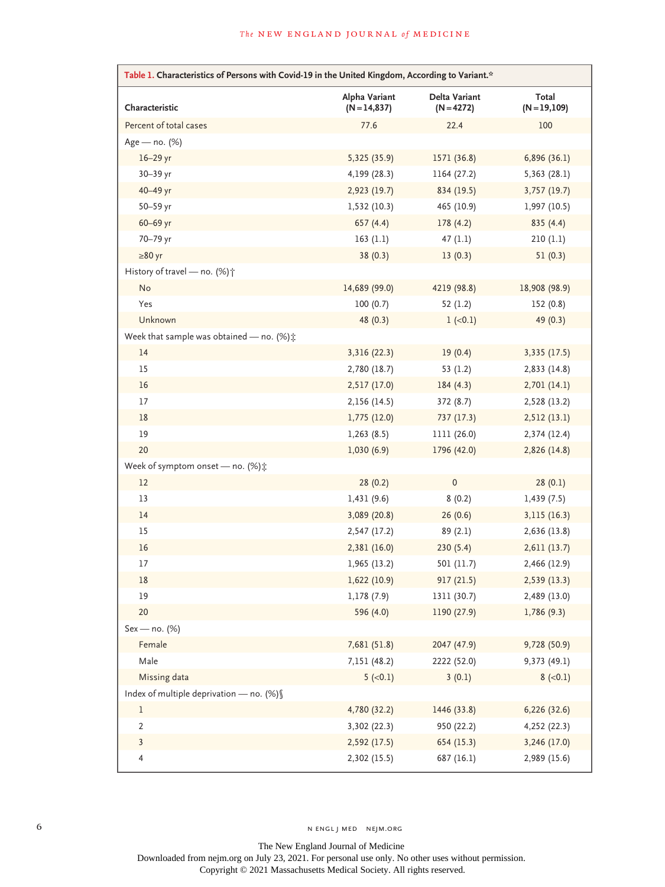| Table 1. Characteristics of Persons with Covid-19 in the United Kingdom, According to Variant.* |                               |                                      |                       |  |  |  |  |  |
|-------------------------------------------------------------------------------------------------|-------------------------------|--------------------------------------|-----------------------|--|--|--|--|--|
| Characteristic                                                                                  | Alpha Variant<br>$(N=14,837)$ | <b>Delta Variant</b><br>$(N = 4272)$ | Total<br>$(N=19,109)$ |  |  |  |  |  |
| Percent of total cases                                                                          | 77.6                          | 22.4                                 | 100                   |  |  |  |  |  |
| Age - no. (%)                                                                                   |                               |                                      |                       |  |  |  |  |  |
| $16-29$ yr                                                                                      | 5,325 (35.9)                  | 1571 (36.8)                          | 6,896(36.1)           |  |  |  |  |  |
| 30-39 yr                                                                                        | 4,199 (28.3)                  | 1164 (27.2)                          | 5,363(28.1)           |  |  |  |  |  |
| 40-49 yr                                                                                        | 2,923 (19.7)                  | 834 (19.5)                           | 3,757 (19.7)          |  |  |  |  |  |
| 50-59 yr                                                                                        | 1,532 (10.3)                  | 465 (10.9)                           | 1,997(10.5)           |  |  |  |  |  |
| 60-69 yr                                                                                        | 657(4.4)                      | 178(4.2)                             | 835(4.4)              |  |  |  |  |  |
| 70-79 yr                                                                                        | 163(1.1)                      | 47(1.1)                              | 210(1.1)              |  |  |  |  |  |
| $\geq 80$ yr                                                                                    | 38(0.3)                       | 13(0.3)                              | 51(0.3)               |  |  |  |  |  |
| History of travel - no. (%) $\dagger$                                                           |                               |                                      |                       |  |  |  |  |  |
| No                                                                                              | 14,689 (99.0)                 | 4219 (98.8)                          | 18,908 (98.9)         |  |  |  |  |  |
| Yes                                                                                             | 100(0.7)                      | 52(1.2)                              | 152 (0.8)             |  |  |  |  |  |
| Unknown                                                                                         | 48 (0.3)                      | $1 (-0.1)$                           | 49 (0.3)              |  |  |  |  |  |
| Week that sample was obtained - no. (%) $\pm$                                                   |                               |                                      |                       |  |  |  |  |  |
| 14                                                                                              | 3,316 (22.3)                  | 19(0.4)                              | 3,335 (17.5)          |  |  |  |  |  |
| 15                                                                                              | 2,780 (18.7)                  | 53 $(1.2)$                           | 2,833 (14.8)          |  |  |  |  |  |
| 16                                                                                              | 2,517 (17.0)                  | 184(4.3)                             | 2,701(14.1)           |  |  |  |  |  |
| 17                                                                                              | 2,156 (14.5)                  | 372 (8.7)                            | 2,528 (13.2)          |  |  |  |  |  |
| 18                                                                                              | 1,775(12.0)                   | 737 (17.3)                           | 2,512(13.1)           |  |  |  |  |  |
| 19                                                                                              | 1,263(8.5)                    | 1111 (26.0)                          | 2,374 (12.4)          |  |  |  |  |  |
| 20                                                                                              | 1,030(6.9)                    | 1796 (42.0)                          | 2,826 (14.8)          |  |  |  |  |  |
| Week of symptom onset - no. (%) $\ddagger$                                                      |                               |                                      |                       |  |  |  |  |  |
| 12                                                                                              | 28(0.2)                       | $\mathbf 0$                          | 28(0.1)               |  |  |  |  |  |
| 13                                                                                              | 1,431(9.6)                    | 8(0.2)                               | 1,439(7.5)            |  |  |  |  |  |
| 14                                                                                              | 3,089 (20.8)                  | 26(0.6)                              | 3,115 (16.3)          |  |  |  |  |  |
| 15                                                                                              | 2,547 (17.2)                  | 89(2.1)                              | 2,636 (13.8)          |  |  |  |  |  |
| 16                                                                                              | 2,381 (16.0)                  | 230(5.4)                             | 2,611(13.7)           |  |  |  |  |  |
| 17                                                                                              | 1,965 (13.2)                  | 501 (11.7)                           | 2,466 (12.9)          |  |  |  |  |  |
| 18                                                                                              | 1,622(10.9)                   | 917(21.5)                            | 2,539(13.3)           |  |  |  |  |  |
| 19                                                                                              | 1,178 (7.9)                   | 1311 (30.7)                          | 2,489 (13.0)          |  |  |  |  |  |
| 20                                                                                              | 596 (4.0)                     | 1190 (27.9)                          | 1,786(9.3)            |  |  |  |  |  |
| Sex - no. (%)                                                                                   |                               |                                      |                       |  |  |  |  |  |
| Female                                                                                          | 7,681 (51.8)                  | 2047 (47.9)                          | 9,728 (50.9)          |  |  |  |  |  |
| Male                                                                                            | 7,151 (48.2)                  | 2222 (52.0)                          | 9,373(49.1)           |  |  |  |  |  |
| Missing data                                                                                    | $5 (-0.1)$                    | 3(0.1)                               | $8 (-0.1)$            |  |  |  |  |  |
| Index of multiple deprivation - no. (%) §                                                       |                               |                                      |                       |  |  |  |  |  |
| $\,1$                                                                                           | 4,780 (32.2)                  | 1446 (33.8)                          | 6,226 (32.6)          |  |  |  |  |  |
| $\overline{2}$                                                                                  | 3,302 (22.3)                  | 950 (22.2)                           | 4,252 (22.3)          |  |  |  |  |  |
| $\mathbf{3}$                                                                                    | 2,592 (17.5)                  | 654 (15.3)                           | 3,246 (17.0)          |  |  |  |  |  |
| $\overline{4}$                                                                                  | 2,302 (15.5)                  | 687 (16.1)                           | 2,989 (15.6)          |  |  |  |  |  |

The New England Journal of Medicine Downloaded from nejm.org on July 23, 2021. For personal use only. No other uses without permission. Copyright © 2021 Massachusetts Medical Society. All rights reserved.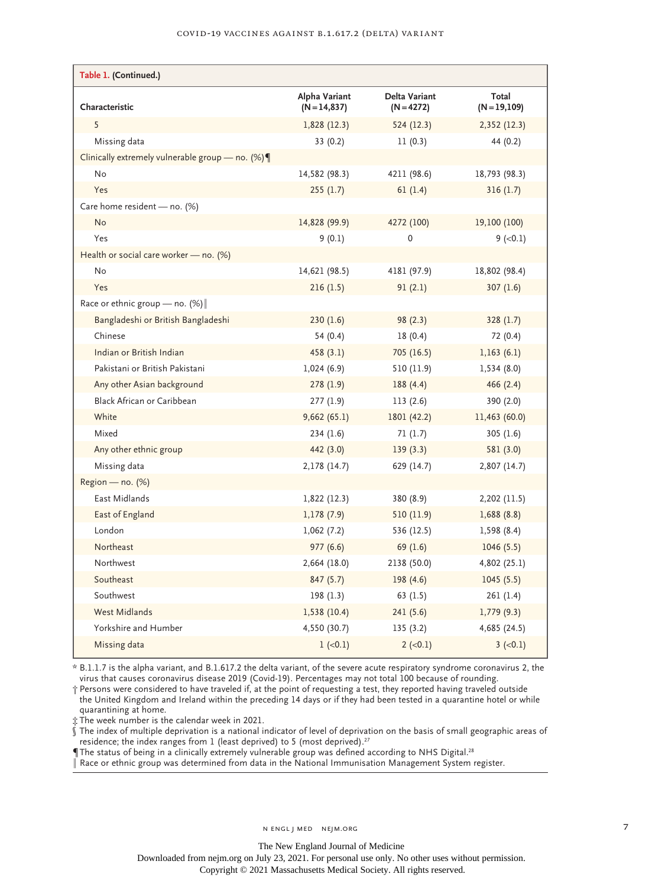| Table 1. (Continued.)                                 |                               |                             |                       |
|-------------------------------------------------------|-------------------------------|-----------------------------|-----------------------|
| Characteristic                                        | Alpha Variant<br>$(N=14,837)$ | Delta Variant<br>(N = 4272) | Total<br>$(N=19,109)$ |
| 5                                                     | 1,828(12.3)                   | 524 (12.3)                  | 2,352 (12.3)          |
| Missing data                                          | 33 (0.2)                      | 11(0.3)                     | 44 (0.2)              |
| Clinically extremely vulnerable group - no. $(\%) \P$ |                               |                             |                       |
| No                                                    | 14,582 (98.3)                 | 4211 (98.6)                 | 18,793 (98.3)         |
| Yes                                                   | 255(1.7)                      | 61(1.4)                     | 316(1.7)              |
| Care home resident - no. (%)                          |                               |                             |                       |
| No                                                    | 14,828 (99.9)                 | 4272 (100)                  | 19,100 (100)          |
| Yes                                                   | 9(0.1)                        | $\mathbf 0$                 | $9 (-0.1)$            |
| Health or social care worker - no. (%)                |                               |                             |                       |
| No                                                    | 14,621 (98.5)                 | 4181 (97.9)                 | 18,802 (98.4)         |
| Yes                                                   | 216(1.5)                      | 91(2.1)                     | 307(1.6)              |
| Race or ethnic group — no. $(\%)$                     |                               |                             |                       |
| Bangladeshi or British Bangladeshi                    | 230(1.6)                      | 98(2.3)                     | 328(1.7)              |
| Chinese                                               | 54 (0.4)                      | 18(0.4)                     | 72 (0.4)              |
| Indian or British Indian                              | 458(3.1)                      | 705 (16.5)                  | 1,163(6.1)            |
| Pakistani or British Pakistani                        | 1,024(6.9)                    | 510 (11.9)                  | 1,534(8.0)            |
| Any other Asian background                            | 278(1.9)                      | 188(4.4)                    | 466(2.4)              |
| Black African or Caribbean                            | 277(1.9)                      | 113(2.6)                    | 390 (2.0)             |
| White                                                 | 9,662(65.1)                   | 1801 (42.2)                 | 11,463 (60.0)         |
| Mixed                                                 | 234(1.6)                      | 71(1.7)                     | 305(1.6)              |
| Any other ethnic group                                | 442 (3.0)                     | 139(3.3)                    | 581 (3.0)             |
| Missing data                                          | 2,178 (14.7)                  | 629 (14.7)                  | 2,807 (14.7)          |
| $Region - no. (%)$                                    |                               |                             |                       |
| East Midlands                                         | 1,822(12.3)                   | 380 (8.9)                   | 2,202 (11.5)          |
| East of England                                       | 1,178(7.9)                    | 510 (11.9)                  | 1,688(8.8)            |
| London                                                | 1,062(7.2)                    | 536 (12.5)                  | 1,598 (8.4)           |
| Northeast                                             | 977(6.6)                      | 69(1.6)                     | 1046(5.5)             |
| Northwest                                             | 2,664 (18.0)                  | 2138 (50.0)                 | 4,802 (25.1)          |
| Southeast                                             | 847 (5.7)                     | 198 (4.6)                   | 1045(5.5)             |
| Southwest                                             | 198(1.3)                      | 63 (1.5)                    | 261 (1.4)             |
| <b>West Midlands</b>                                  | 1,538 (10.4)                  | 241(5.6)                    | 1,779(9.3)            |
| Yorkshire and Humber                                  | 4,550 (30.7)                  | 135(3.2)                    | 4,685 (24.5)          |
| Missing data                                          | $1 (-0.1)$                    | $2 (-0.1)$                  | $3 (-0.1)$            |

\* B.1.1.7 is the alpha variant, and B.1.617.2 the delta variant, of the severe acute respiratory syndrome coronavirus 2, the virus that causes coronavirus disease 2019 (Covid-19). Percentages may not total 100 because of rounding.

† Persons were considered to have traveled if, at the point of requesting a test, they reported having traveled outside the United Kingdom and Ireland within the preceding 14 days or if they had been tested in a quarantine hotel or while quarantining at home.

‡ The week number is the calendar week in 2021.

 $\hat{\S}$  The index of multiple deprivation is a national indicator of level of deprivation on the basis of small geographic areas of residence; the index ranges from  $1$  (least deprived) to 5 (most deprived).<sup>27</sup>

The status of being in a clinically extremely vulnerable group was defined according to NHS Digital.<sup>28</sup>

Race or ethnic group was determined from data in the National Immunisation Management System register.

Downloaded from nejm.org on July 23, 2021. For personal use only. No other uses without permission.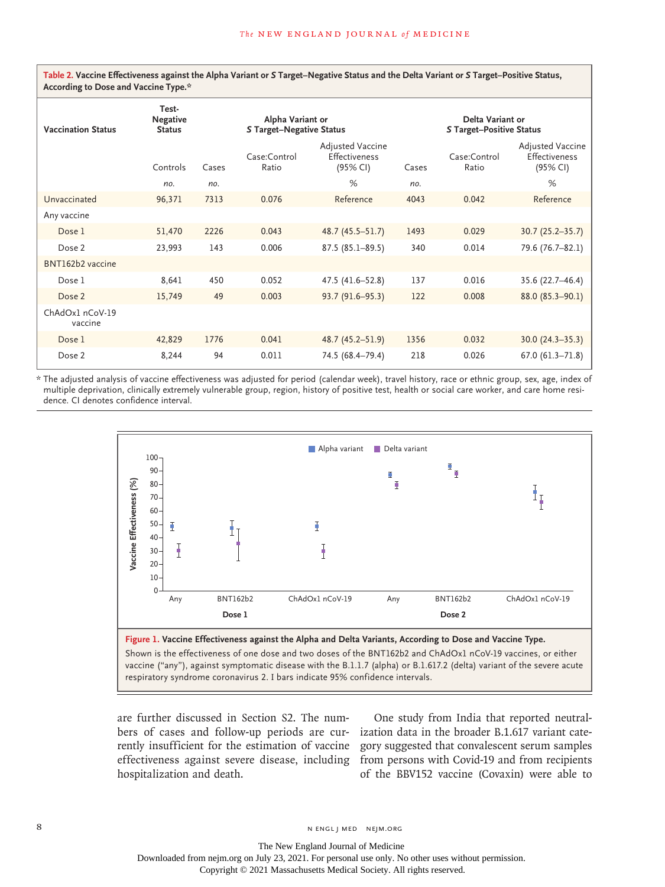**Table 2. Vaccine Effectiveness against the Alpha Variant or** *S* **Target–Negative Status and the Delta Variant or** *S* **Target–Positive Status, According to Dose and Vaccine Type.\***

| <b>Vaccination Status</b>  | Test-<br><b>Negative</b><br><b>Status</b> |       | Alpha Variant or<br><b>S Target-Negative Status</b> |                                                      | Delta Variant or<br><b>S Target-Positive Status</b> |                       |                                                      |
|----------------------------|-------------------------------------------|-------|-----------------------------------------------------|------------------------------------------------------|-----------------------------------------------------|-----------------------|------------------------------------------------------|
|                            | Controls                                  | Cases | Case:Control<br>Ratio                               | Adjusted Vaccine<br><b>Effectiveness</b><br>(95% CI) | Cases                                               | Case:Control<br>Ratio | <b>Adjusted Vaccine</b><br>Effectiveness<br>(95% CI) |
|                            | no.                                       | no.   |                                                     | %                                                    | no.                                                 |                       | %                                                    |
| Unvaccinated               | 96,371                                    | 7313  | 0.076                                               | Reference                                            | 4043                                                | 0.042                 | Reference                                            |
| Any vaccine                |                                           |       |                                                     |                                                      |                                                     |                       |                                                      |
| Dose 1                     | 51,470                                    | 2226  | 0.043                                               | $48.7(45.5 - 51.7)$                                  | 1493                                                | 0.029                 | $30.7(25.2 - 35.7)$                                  |
| Dose 2                     | 23,993                                    | 143   | 0.006                                               | $87.5(85.1 - 89.5)$                                  | 340                                                 | 0.014                 | 79.6 (76.7-82.1)                                     |
| BNT162b2 vaccine           |                                           |       |                                                     |                                                      |                                                     |                       |                                                      |
| Dose 1                     | 8,641                                     | 450   | 0.052                                               | 47.5 (41.6-52.8)                                     | 137                                                 | 0.016                 | 35.6 (22.7-46.4)                                     |
| Dose 2                     | 15,749                                    | 49    | 0.003                                               | 93.7 (91.6-95.3)                                     | 122                                                 | 0.008                 | 88.0 (85.3-90.1)                                     |
| ChAdOx1 nCoV-19<br>vaccine |                                           |       |                                                     |                                                      |                                                     |                       |                                                      |
| Dose 1                     | 42,829                                    | 1776  | 0.041                                               | 48.7 (45.2–51.9)                                     | 1356                                                | 0.032                 | $30.0(24.3-35.3)$                                    |
| Dose 2                     | 8,244                                     | 94    | 0.011                                               | 74.5 (68.4-79.4)                                     | 218                                                 | 0.026                 | $67.0 (61.3 - 71.8)$                                 |

\* The adjusted analysis of vaccine effectiveness was adjusted for period (calendar week), travel history, race or ethnic group, sex, age, index of multiple deprivation, clinically extremely vulnerable group, region, history of positive test, health or social care worker, and care home residence. CI denotes confidence interval.



vaccine ("any"), against symptomatic disease with the B.1.1.7 (alpha) or B.1.617.2 (delta) variant of the severe acute

are further discussed in Section S2. The numbers of cases and follow-up periods are currently insufficient for the estimation of vaccine hospitalization and death.

effectiveness against severe disease, including from persons with Covid-19 and from recipients One study from India that reported neutralization data in the broader B.1.617 variant category suggested that convalescent serum samples of the BBV152 vaccine (Covaxin) were able to

8 N ENGL J MED NEJM.ORG

The New England Journal of Medicine Downloaded from nejm.org on July 23, 2021. For personal use only. No other uses without permission.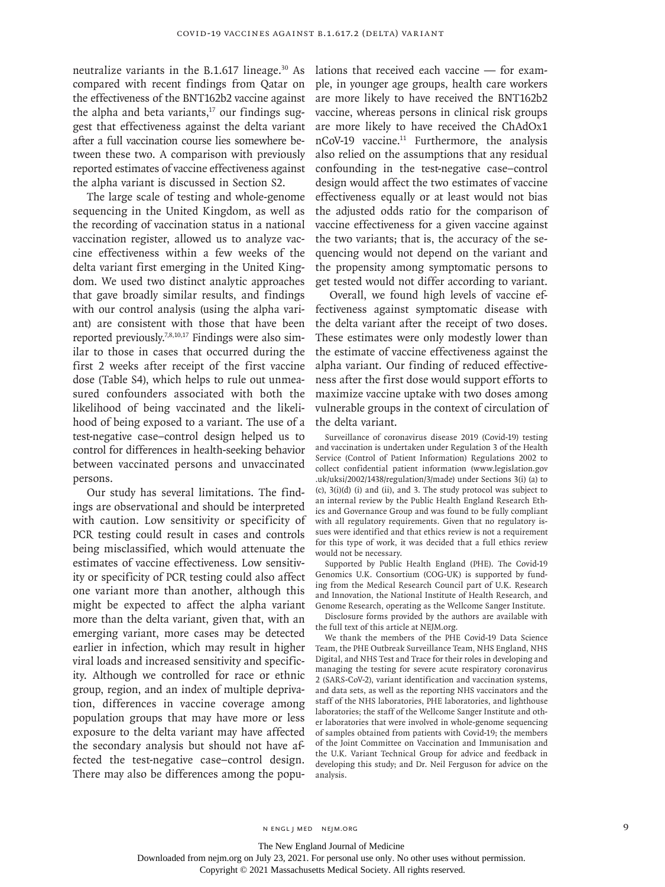neutralize variants in the B.1.617 lineage. $30$  As compared with recent findings from Qatar on the effectiveness of the BNT162b2 vaccine against the alpha and beta variants, $17$  our findings suggest that effectiveness against the delta variant after a full vaccination course lies somewhere between these two. A comparison with previously reported estimates of vaccine effectiveness against the alpha variant is discussed in Section S2.

The large scale of testing and whole-genome sequencing in the United Kingdom, as well as the recording of vaccination status in a national vaccination register, allowed us to analyze vaccine effectiveness within a few weeks of the delta variant first emerging in the United Kingdom. We used two distinct analytic approaches that gave broadly similar results, and findings with our control analysis (using the alpha variant) are consistent with those that have been reported previously.7,8,10,17 Findings were also similar to those in cases that occurred during the first 2 weeks after receipt of the first vaccine dose (Table S4), which helps to rule out unmeasured confounders associated with both the likelihood of being vaccinated and the likelihood of being exposed to a variant. The use of a test-negative case–control design helped us to control for differences in health-seeking behavior between vaccinated persons and unvaccinated persons.

Our study has several limitations. The findings are observational and should be interpreted with caution. Low sensitivity or specificity of PCR testing could result in cases and controls being misclassified, which would attenuate the estimates of vaccine effectiveness. Low sensitivity or specificity of PCR testing could also affect one variant more than another, although this might be expected to affect the alpha variant more than the delta variant, given that, with an emerging variant, more cases may be detected earlier in infection, which may result in higher viral loads and increased sensitivity and specificity. Although we controlled for race or ethnic group, region, and an index of multiple deprivation, differences in vaccine coverage among population groups that may have more or less exposure to the delta variant may have affected the secondary analysis but should not have affected the test-negative case–control design. There may also be differences among the populations that received each vaccine — for example, in younger age groups, health care workers are more likely to have received the BNT162b2 vaccine, whereas persons in clinical risk groups are more likely to have received the ChAdOx1 nCoV-19 vaccine.<sup>11</sup> Furthermore, the analysis also relied on the assumptions that any residual confounding in the test-negative case–control design would affect the two estimates of vaccine effectiveness equally or at least would not bias the adjusted odds ratio for the comparison of vaccine effectiveness for a given vaccine against the two variants; that is, the accuracy of the sequencing would not depend on the variant and the propensity among symptomatic persons to get tested would not differ according to variant.

Overall, we found high levels of vaccine effectiveness against symptomatic disease with the delta variant after the receipt of two doses. These estimates were only modestly lower than the estimate of vaccine effectiveness against the alpha variant. Our finding of reduced effectiveness after the first dose would support efforts to maximize vaccine uptake with two doses among vulnerable groups in the context of circulation of the delta variant.

Surveillance of coronavirus disease 2019 (Covid-19) testing and vaccination is undertaken under Regulation 3 of the Health Service (Control of Patient Information) Regulations 2002 to collect confidential patient information [\(www.legislation.gov](https://www.legislation.gov.uk/uksi/2002/1438/regulation/3/made) [.uk/uksi/2002/1438/regulation/3/made\)](https://www.legislation.gov.uk/uksi/2002/1438/regulation/3/made) under Sections 3(i) (a) to (c), 3(i)(d) (i) and (ii), and 3. The study protocol was subject to an internal review by the Public Health England Research Ethics and Governance Group and was found to be fully compliant with all regulatory requirements. Given that no regulatory issues were identified and that ethics review is not a requirement for this type of work, it was decided that a full ethics review would not be necessary.

Supported by Public Health England (PHE). The Covid-19 Genomics U.K. Consortium (COG-UK) is supported by funding from the Medical Research Council part of U.K. Research and Innovation, the National Institute of Health Research, and Genome Research, operating as the Wellcome Sanger Institute.

Disclosure forms provided by the authors are available with the full text of this article at NEJM.org.

We thank the members of the PHE Covid-19 Data Science Team, the PHE Outbreak Surveillance Team, NHS England, NHS Digital, and NHS Test and Trace for their roles in developing and managing the testing for severe acute respiratory coronavirus 2 (SARS-CoV-2), variant identification and vaccination systems, and data sets, as well as the reporting NHS vaccinators and the staff of the NHS laboratories, PHE laboratories, and lighthouse laboratories; the staff of the Wellcome Sanger Institute and other laboratories that were involved in whole-genome sequencing of samples obtained from patients with Covid-19; the members of the Joint Committee on Vaccination and Immunisation and the U.K. Variant Technical Group for advice and feedback in developing this study; and Dr. Neil Ferguson for advice on the analysis.

The New England Journal of Medicine

Downloaded from nejm.org on July 23, 2021. For personal use only. No other uses without permission.